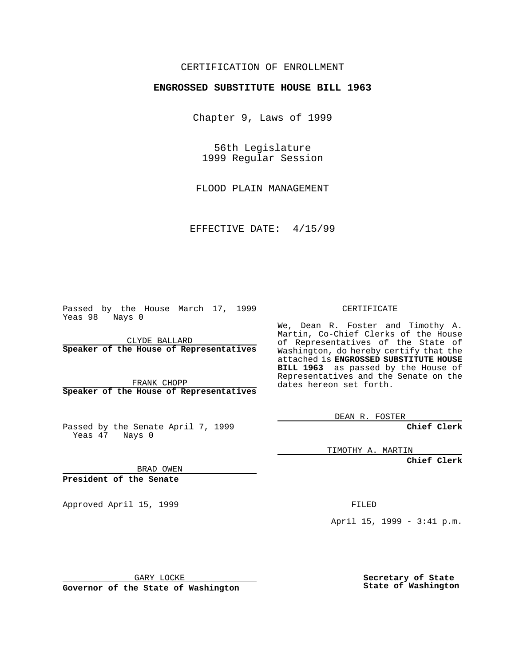## CERTIFICATION OF ENROLLMENT

## **ENGROSSED SUBSTITUTE HOUSE BILL 1963**

Chapter 9, Laws of 1999

56th Legislature 1999 Regular Session

FLOOD PLAIN MANAGEMENT

EFFECTIVE DATE: 4/15/99

Passed by the House March 17, 1999 Yeas 98 Nays 0

CLYDE BALLARD **Speaker of the House of Representatives**

FRANK CHOPP **Speaker of the House of Representatives**

Passed by the Senate April 7, 1999 Yeas 47 Nays 0

CERTIFICATE

We, Dean R. Foster and Timothy A. Martin, Co-Chief Clerks of the House of Representatives of the State of Washington, do hereby certify that the attached is **ENGROSSED SUBSTITUTE HOUSE BILL 1963** as passed by the House of Representatives and the Senate on the dates hereon set forth.

DEAN R. FOSTER

**Chief Clerk**

TIMOTHY A. MARTIN

**Chief Clerk**

BRAD OWEN

**President of the Senate**

Approved April 15, 1999 **FILED** 

April 15, 1999 - 3:41 p.m.

GARY LOCKE

**Governor of the State of Washington**

**Secretary of State State of Washington**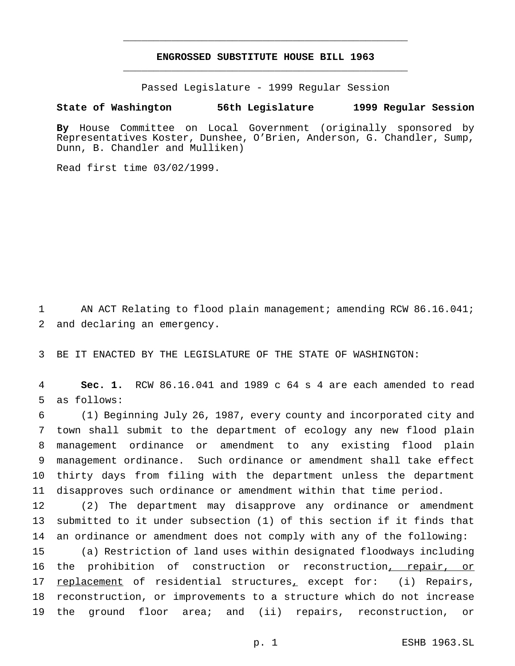## **ENGROSSED SUBSTITUTE HOUSE BILL 1963** \_\_\_\_\_\_\_\_\_\_\_\_\_\_\_\_\_\_\_\_\_\_\_\_\_\_\_\_\_\_\_\_\_\_\_\_\_\_\_\_\_\_\_\_\_\_\_

\_\_\_\_\_\_\_\_\_\_\_\_\_\_\_\_\_\_\_\_\_\_\_\_\_\_\_\_\_\_\_\_\_\_\_\_\_\_\_\_\_\_\_\_\_\_\_

Passed Legislature - 1999 Regular Session

## **State of Washington 56th Legislature 1999 Regular Session**

**By** House Committee on Local Government (originally sponsored by Representatives Koster, Dunshee, O'Brien, Anderson, G. Chandler, Sump, Dunn, B. Chandler and Mulliken)

Read first time 03/02/1999.

1 AN ACT Relating to flood plain management; amending RCW 86.16.041; 2 and declaring an emergency.

3 BE IT ENACTED BY THE LEGISLATURE OF THE STATE OF WASHINGTON:

4 **Sec. 1.** RCW 86.16.041 and 1989 c 64 s 4 are each amended to read 5 as follows:

 (1) Beginning July 26, 1987, every county and incorporated city and town shall submit to the department of ecology any new flood plain management ordinance or amendment to any existing flood plain management ordinance. Such ordinance or amendment shall take effect thirty days from filing with the department unless the department disapproves such ordinance or amendment within that time period.

12 (2) The department may disapprove any ordinance or amendment 13 submitted to it under subsection (1) of this section if it finds that 14 an ordinance or amendment does not comply with any of the following:

15 (a) Restriction of land uses within designated floodways including 16 the prohibition of construction or reconstruction, repair, or 17 replacement of residential structures, except for: (i) Repairs, 18 reconstruction, or improvements to a structure which do not increase 19 the ground floor area; and (ii) repairs, reconstruction, or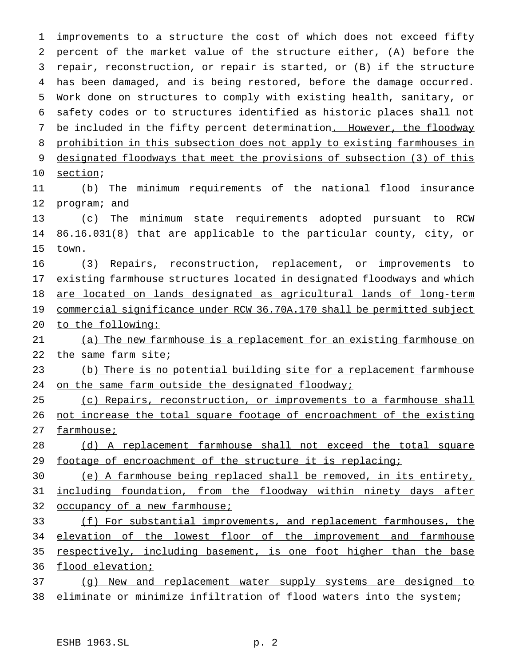improvements to a structure the cost of which does not exceed fifty percent of the market value of the structure either, (A) before the repair, reconstruction, or repair is started, or (B) if the structure has been damaged, and is being restored, before the damage occurred. Work done on structures to comply with existing health, sanitary, or safety codes or to structures identified as historic places shall not 7 be included in the fifty percent determination. However, the floodway prohibition in this subsection does not apply to existing farmhouses in designated floodways that meet the provisions of subsection (3) of this section; (b) The minimum requirements of the national flood insurance program; and (c) The minimum state requirements adopted pursuant to RCW 86.16.031(8) that are applicable to the particular county, city, or town. (3) Repairs, reconstruction, replacement, or improvements to existing farmhouse structures located in designated floodways and which are located on lands designated as agricultural lands of long-term commercial significance under RCW 36.70A.170 shall be permitted subject to the following: (a) The new farmhouse is a replacement for an existing farmhouse on 22 the same farm site; (b) There is no potential building site for a replacement farmhouse 24 on the same farm outside the designated floodway; 25 (c) Repairs, reconstruction, or improvements to a farmhouse shall 26 not increase the total square footage of encroachment of the existing farmhouse; (d) A replacement farmhouse shall not exceed the total square 29 footage of encroachment of the structure it is replacing; (e) A farmhouse being replaced shall be removed, in its entirety, including foundation, from the floodway within ninety days after occupancy of a new farmhouse; 33 (f) For substantial improvements, and replacement farmhouses, the 34 elevation of the lowest floor of the improvement and farmhouse respectively, including basement, is one foot higher than the base 36 flood elevation; (g) New and replacement water supply systems are designed to

eliminate or minimize infiltration of flood waters into the system;